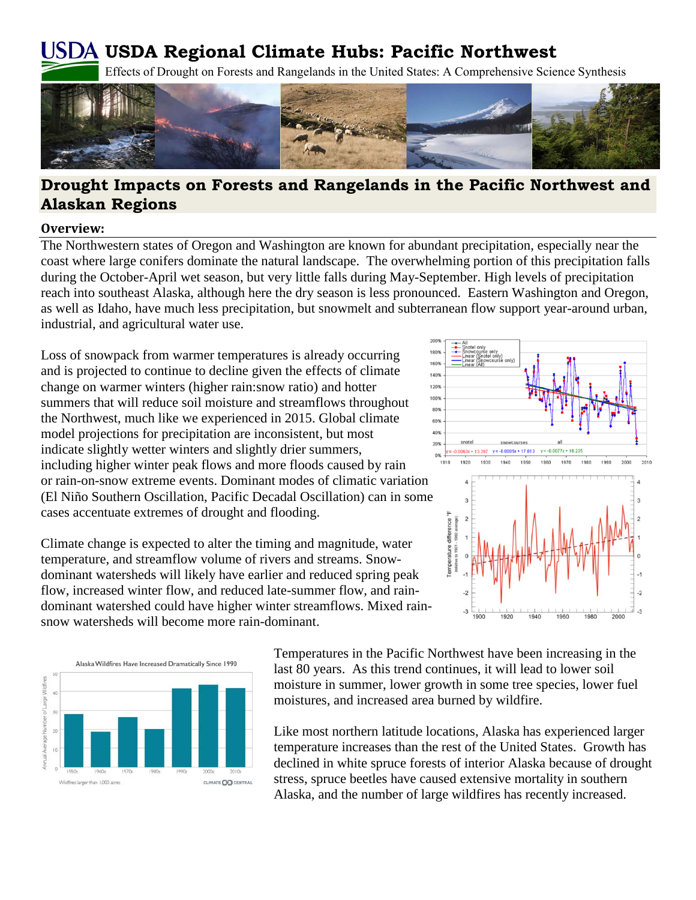# **USDA Regional Climate Hubs: Pacific Northwest**

Effects of Drought on Forests and Rangelands in the United States: A Comprehensive Science Synthesis



# **Drought Impacts on Forests and Rangelands in the Pacific Northwest and Alaskan Regions**

#### **Overview:**

The Northwestern states of Oregon and Washington are known for abundant precipitation, especially near the coast where large conifers dominate the natural landscape. The overwhelming portion of this precipitation falls during the October-April wet season, but very little falls during May-September. High levels of precipitation reach into southeast Alaska, although here the dry season is less pronounced. Eastern Washington and Oregon, as well as Idaho, have much less precipitation, but snowmelt and subterranean flow support year-around urban, industrial, and agricultural water use.

Loss of snowpack from warmer temperatures is already occurring and is projected to continue to decline given the effects of climate change on warmer winters (higher rain:snow ratio) and hotter summers that will reduce soil moisture and streamflows throughout the Northwest, much like we experienced in 2015. Global climate model projections for precipitation are inconsistent, but most indicate slightly wetter winters and slightly drier summers, including higher winter peak flows and more floods caused by rain or rain-on-snow extreme events. Dominant modes of climatic variation (El Niño Southern Oscillation, Pacific Decadal Oscillation) can in some cases accentuate extremes of drought and flooding.

Climate change is expected to alter the timing and magnitude, water temperature, and streamflow volume of rivers and streams. Snowdominant watersheds will likely have earlier and reduced spring peak flow, increased winter flow, and reduced late-summer flow, and raindominant watershed could have higher winter streamflows. Mixed rainsnow watersheds will become more rain-dominant.





Temperatures in the Pacific Northwest have been increasing in the last 80 years. As this trend continues, it will lead to lower soil moisture in summer, lower growth in some tree species, lower fuel moistures, and increased area burned by wildfire.

Like most northern latitude locations, Alaska has experienced larger temperature increases than the rest of the United States. Growth has declined in white spruce forests of interior Alaska because of drought stress, spruce beetles have caused extensive mortality in southern Alaska, and the number of large wildfires has recently increased.